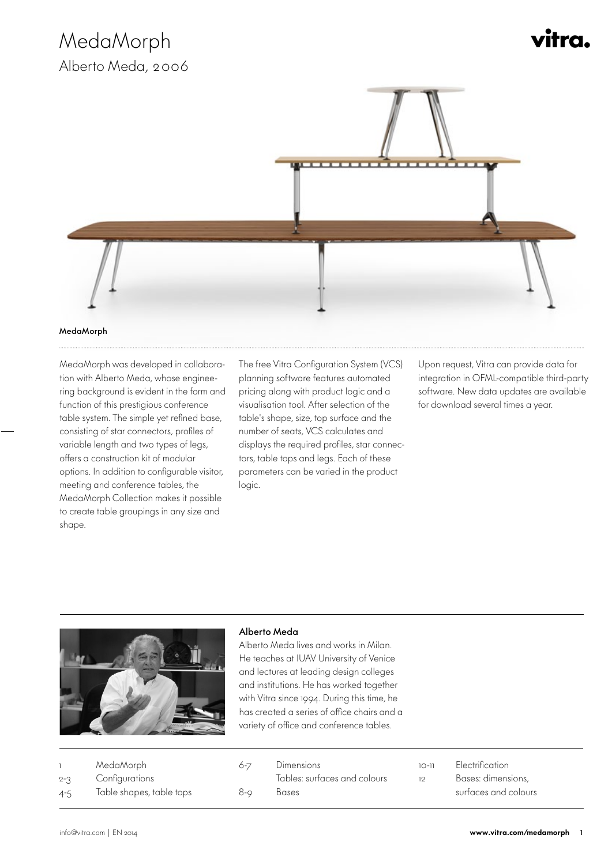### MedaMorph Alberto Meda, 2006



MedaMorph was developed in collaboration with Alberto Meda, whose engineering background is evident in the form and function of this prestigious conference table system. The simple yet refined base, consisting of star connectors, profiles of variable length and two types of legs, offers a construction kit of modular options. In addition to configurable visitor, meeting and conference tables, the MedaMorph Collection makes it possible to create table groupings in any size and shape.

The free Vitra Configuration System (VCS) planning software features automated pricing along with product logic and a visualisation tool. After selection of the table's shape, size, top surface and the number of seats, VCS calculates and displays the required profiles, star connectors, table tops and legs. Each of these parameters can be varied in the product logic.

Upon request, Vitra can provide data for integration in OFML-compatible third-party software. New data updates are available for download several times a year.



#### Alberto Meda

Alberto Meda lives and works in Milan. He teaches at IUAV University of Venice and lectures at leading design colleges and institutions. He has worked together with Vitra since 1994. During this time, he has created a series of office chairs and a variety of office and conference tables.

|         | MedaMorph                | 6-7 |
|---------|--------------------------|-----|
| $2 - 3$ | Configurations           |     |
| $4 - 5$ | Table shapes, table tops | 8-o |

| 6-7 | Dimensions                   | ٦٢ |
|-----|------------------------------|----|
|     | Tables: surfaces and colours | 10 |
| 8-9 | Bases                        |    |

### 10-11 Electrification

Bases: dimensions, surfaces and colours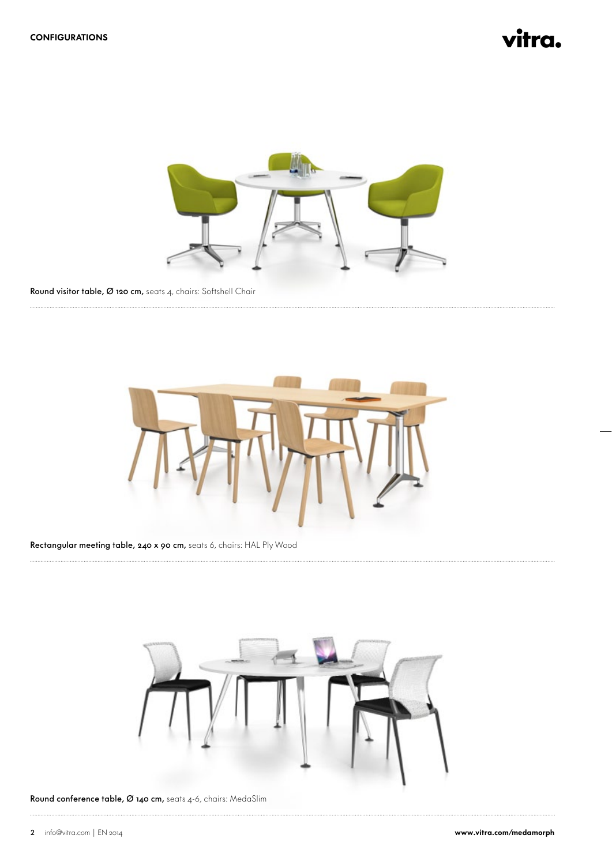### ritra.



Round visitor table, Ø 120 cm, seats 4, chairs: Softshell Chair



Rectangular meeting table, 240 x 90 cm, seats 6, chairs: HAL Ply Wood



Round conference table, Ø 140 cm, seats 4-6, chairs: MedaSlim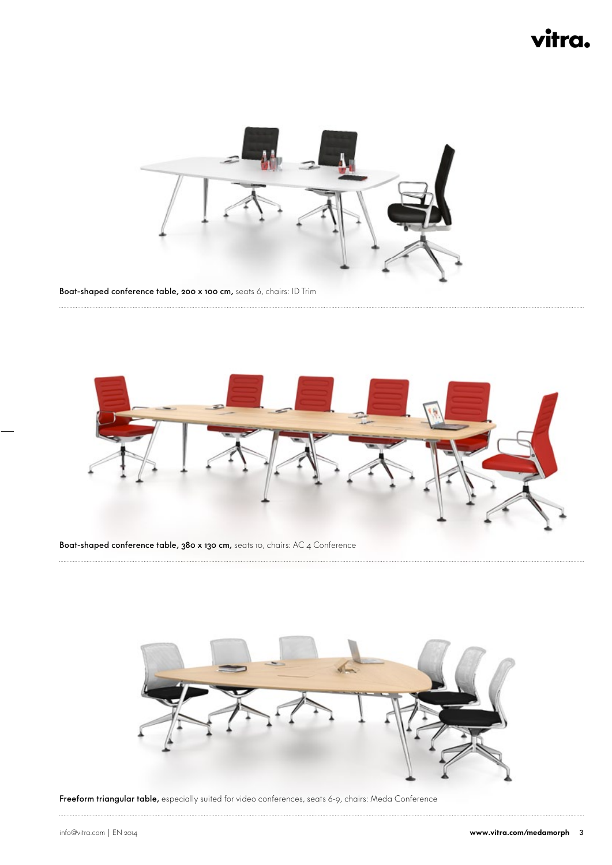

Boat-shaped conference table, 200 x 100 cm, seats 6, chairs: ID Trim

 $\ddotsc$ 

J.



Boat-shaped conference table, 380 x 130 cm, seats 10, chairs: AC 4 Conference



. . . . . . . . . . . . . . . . .

Freeform triangular table, especially suited for video conferences, seats 6-9, chairs: Meda Conference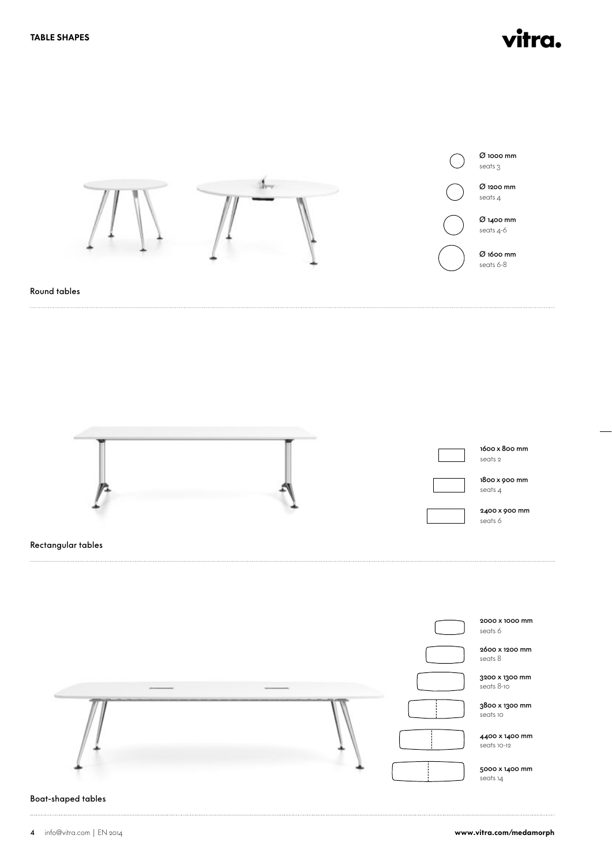

#### Boat-shaped tables

................................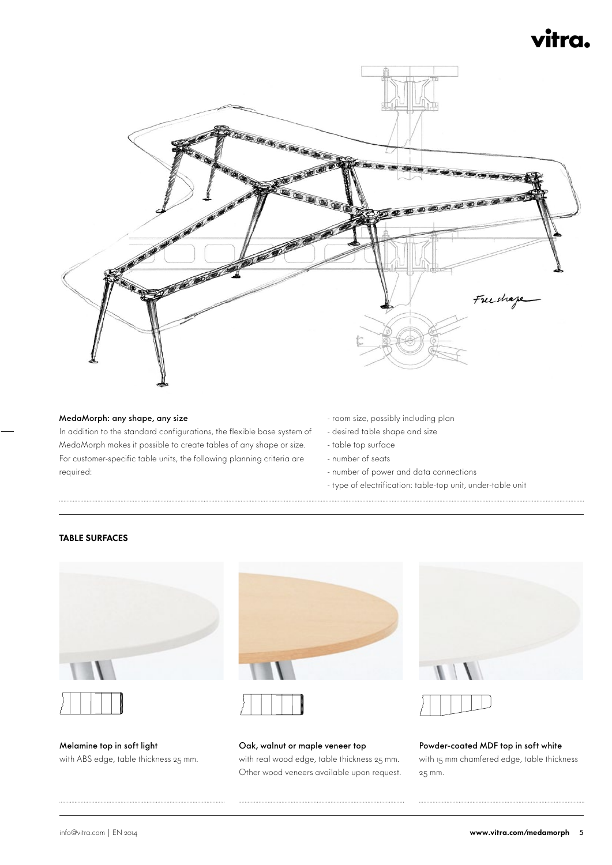# ritra.



#### MedaMorph: any shape, any size

In addition to the standard configurations, the flexible base system of MedaMorph makes it possible to create tables of any shape or size. For customer-specific table units, the following planning criteria are required:

- room size, possibly including plan
- desired table shape and size
- table top surface
- number of seats
- number of power and data connections
- type of electrification: table-top unit, under-table unit

#### TABLE SURFACES



Melamine top in soft light with ABS edge, table thickness 25 mm.





#### Oak, walnut or maple veneer top

with real wood edge, table thickness 25 mm. Other wood veneers available upon request.





#### Powder-coated MDF top in soft white

with 15 mm chamfered edge, table thickness 25 mm.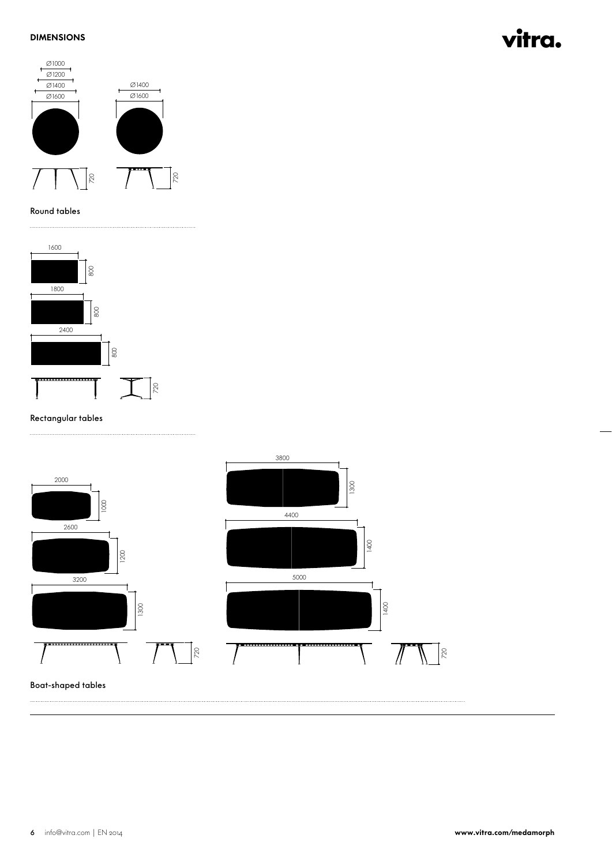#### DIMENSIONS

# vitra.



#### Round tables



#### Rectangular tables



#### Boat-shaped tables

. . . .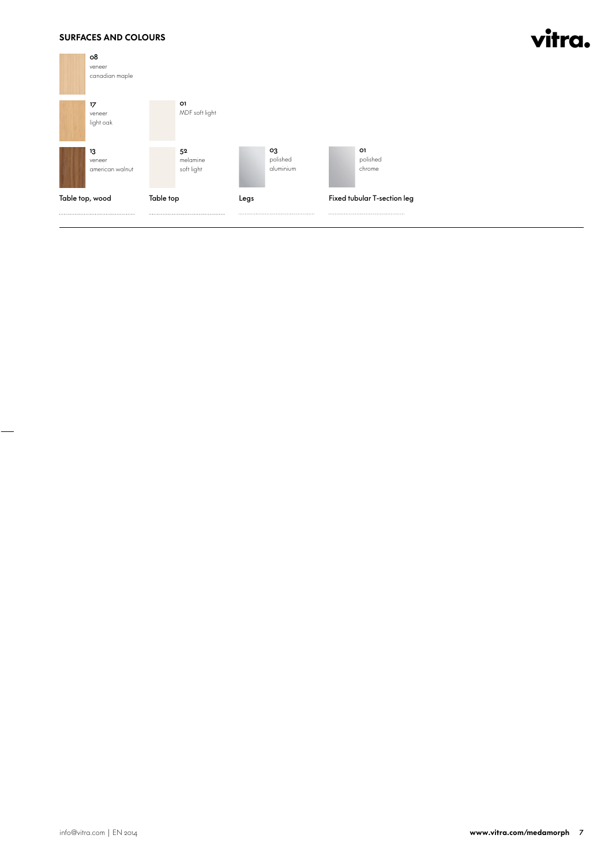#### SURFACES AND COLOURS

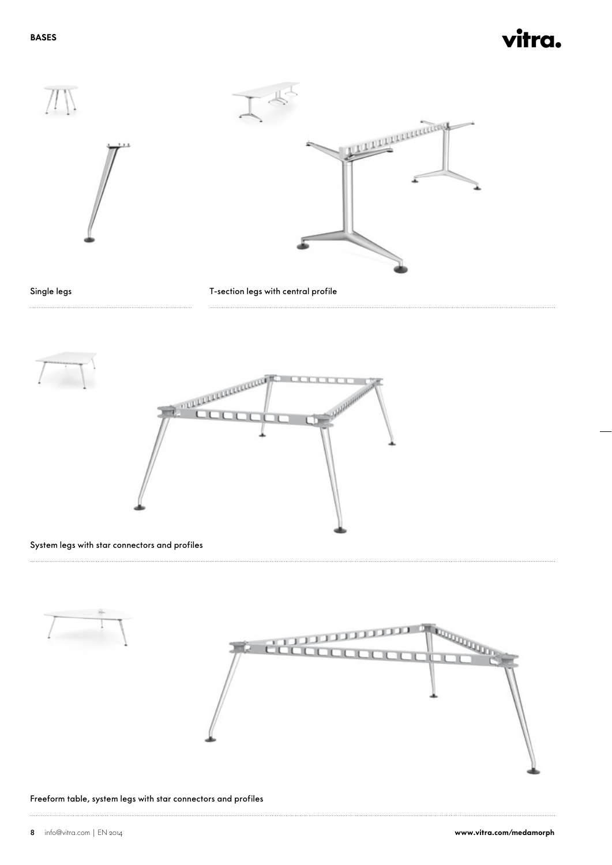

#### System legs with star connectors and profiles

 $\cdots$ 



#### Freeform table, system legs with star connectors and profiles

 $\ddotsc$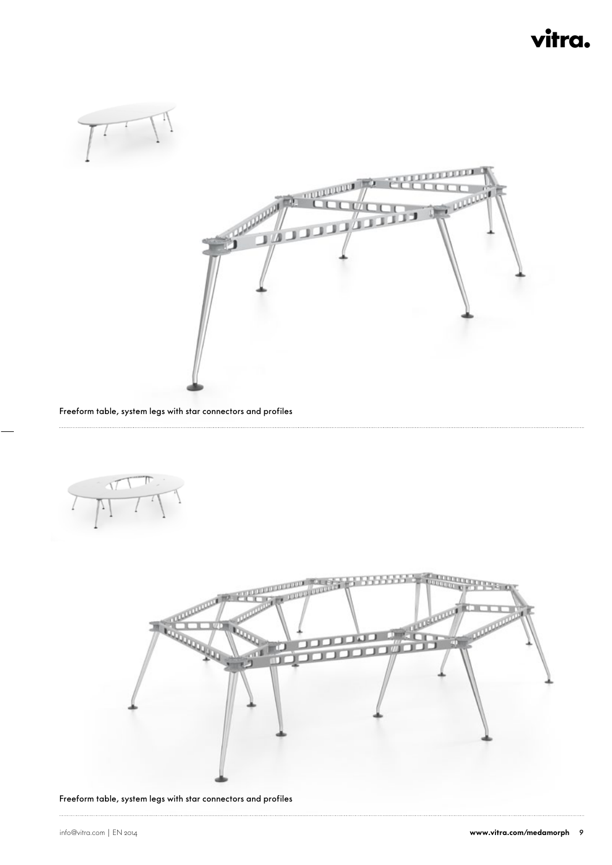

Freeform table, system legs with star connectors and profiles





Freeform table, system legs with star connectors and profiles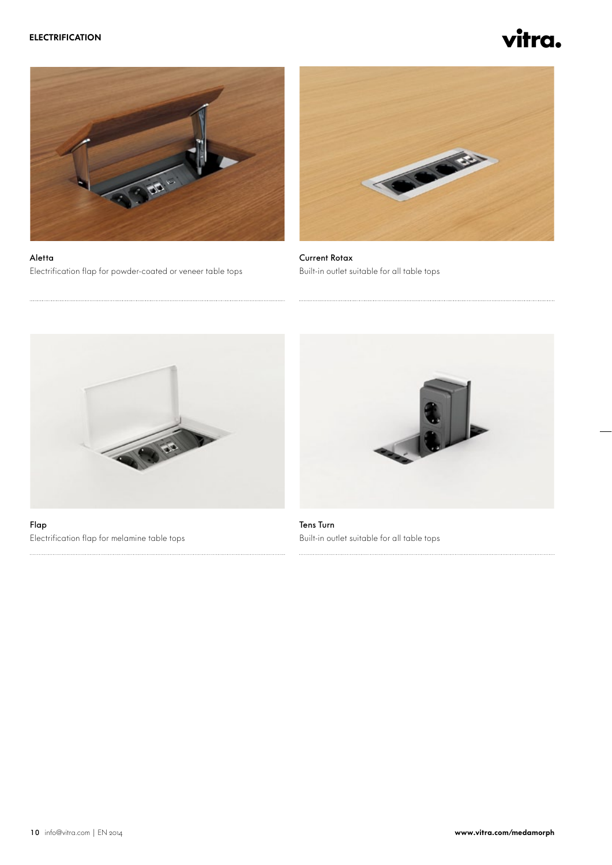

Aletta Electrification flap for powder-coated or veneer table tops



Current Rotax Built-in outlet suitable for all table tops



Flap Electrification flap for melamine table tops

 $\ldots$ 



Tens Turn Built-in outlet suitable for all table tops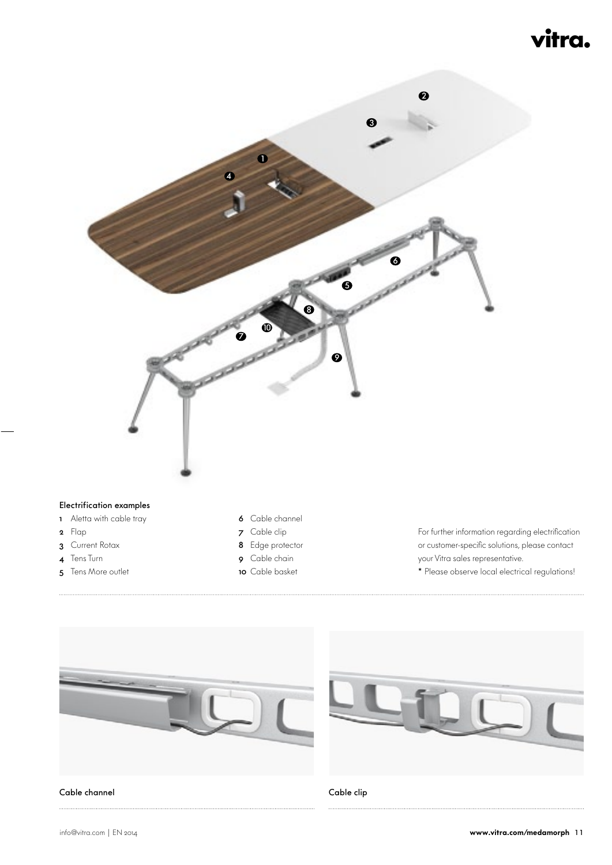

- 5 Tens More outlet
- Cable basket

For further information regarding electrification or customer-specific solutions, please contact

\* Please observe local electrical regulations!





#### Cable channel Cable clip